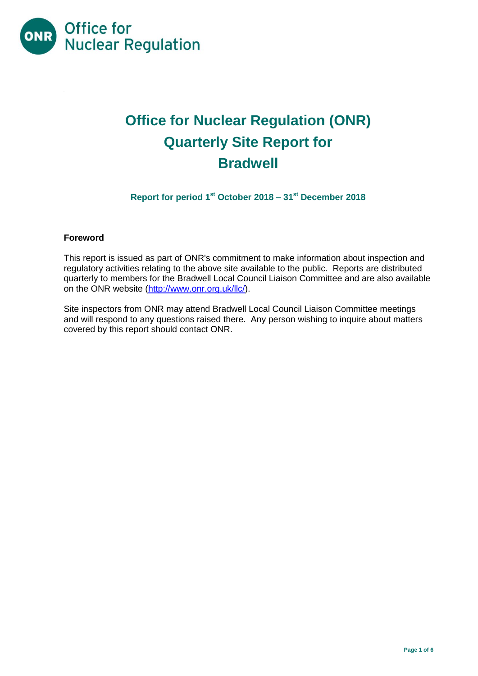

# **Office for Nuclear Regulation (ONR) Quarterly Site Report for Bradwell**

**Report for period 1 st October 2018 – 31 st December 2018**

# **Foreword**

This report is issued as part of ONR's commitment to make information about inspection and regulatory activities relating to the above site available to the public. Reports are distributed quarterly to members for the Bradwell Local Council Liaison Committee and are also available on the ONR website [\(http://www.onr.org.uk/llc/\)](http://www.onr.org.uk/llc/).

Site inspectors from ONR may attend Bradwell Local Council Liaison Committee meetings and will respond to any questions raised there. Any person wishing to inquire about matters covered by this report should contact ONR.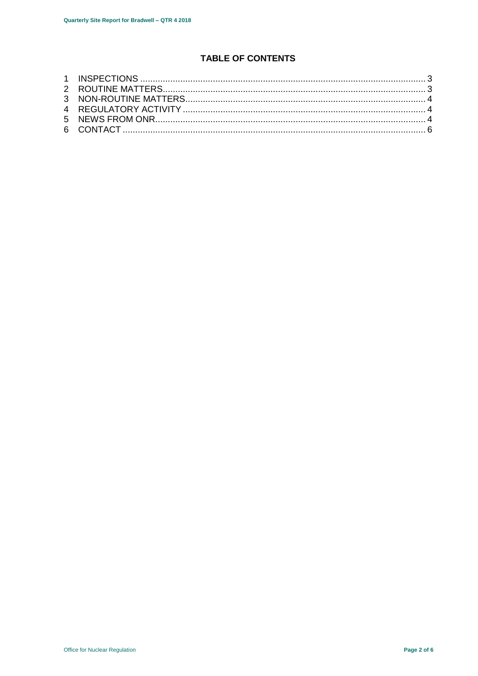# **TABLE OF CONTENTS**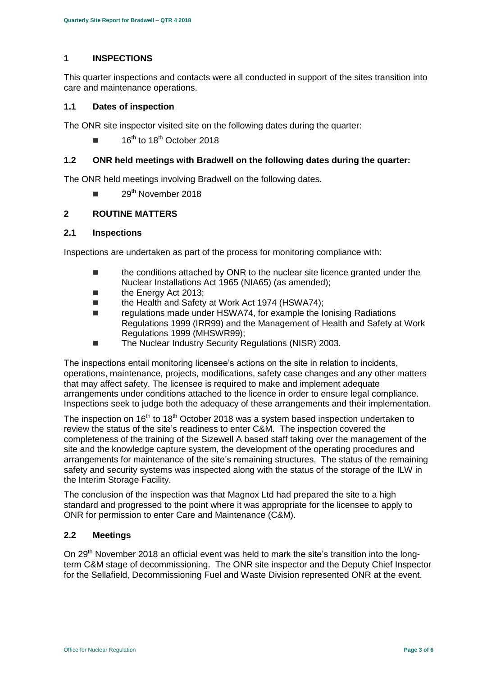# <span id="page-2-0"></span>**1 INSPECTIONS**

This quarter inspections and contacts were all conducted in support of the sites transition into care and maintenance operations.

#### **1.1 Dates of inspection**

The ONR site inspector visited site on the following dates during the quarter:

16<sup>th</sup> to 18<sup>th</sup> October 2018

#### **1.2 ONR held meetings with Bradwell on the following dates during the quarter:**

The ONR held meetings involving Bradwell on the following dates.

29<sup>th</sup> November 2018

# <span id="page-2-1"></span>**2 ROUTINE MATTERS**

#### **2.1 Inspections**

Inspections are undertaken as part of the process for monitoring compliance with:

- $\blacksquare$  the conditions attached by ONR to the nuclear site licence granted under the Nuclear Installations Act 1965 (NIA65) (as amended);
- **the Energy Act 2013:**
- the Health and Safety at Work Act 1974 (HSWA74);
- Tregulations made under HSWA74, for example the Ionising Radiations Regulations 1999 (IRR99) and the Management of Health and Safety at Work Regulations 1999 (MHSWR99);
- The Nuclear Industry Security Regulations (NISR) 2003.

The inspections entail monitoring licensee's actions on the site in relation to incidents, operations, maintenance, projects, modifications, safety case changes and any other matters that may affect safety. The licensee is required to make and implement adequate arrangements under conditions attached to the licence in order to ensure legal compliance. Inspections seek to judge both the adequacy of these arrangements and their implementation.

The inspection on  $16<sup>th</sup>$  to  $18<sup>th</sup>$  October 2018 was a system based inspection undertaken to review the status of the site's readiness to enter C&M. The inspection covered the completeness of the training of the Sizewell A based staff taking over the management of the site and the knowledge capture system, the development of the operating procedures and arrangements for maintenance of the site's remaining structures. The status of the remaining safety and security systems was inspected along with the status of the storage of the ILW in the Interim Storage Facility.

The conclusion of the inspection was that Magnox Ltd had prepared the site to a high standard and progressed to the point where it was appropriate for the licensee to apply to ONR for permission to enter Care and Maintenance (C&M).

#### **2.2 Meetings**

On 29<sup>th</sup> November 2018 an official event was held to mark the site's transition into the longterm C&M stage of decommissioning. The ONR site inspector and the Deputy Chief Inspector for the Sellafield, Decommissioning Fuel and Waste Division represented ONR at the event.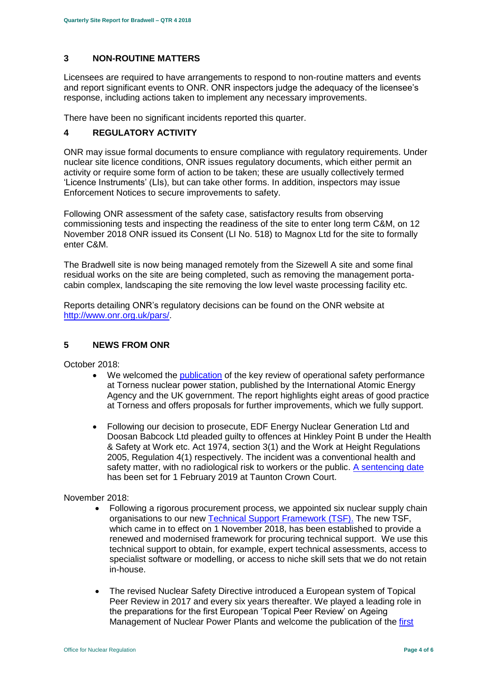# <span id="page-3-0"></span>**3 NON-ROUTINE MATTERS**

Licensees are required to have arrangements to respond to non-routine matters and events and report significant events to ONR. ONR inspectors judge the adequacy of the licensee's response, including actions taken to implement any necessary improvements.

There have been no significant incidents reported this quarter.

# <span id="page-3-1"></span>**4 REGULATORY ACTIVITY**

ONR may issue formal documents to ensure compliance with regulatory requirements. Under nuclear site licence conditions, ONR issues regulatory documents, which either permit an activity or require some form of action to be taken; these are usually collectively termed 'Licence Instruments' (LIs), but can take other forms. In addition, inspectors may issue Enforcement Notices to secure improvements to safety.

Following ONR assessment of the safety case, satisfactory results from observing commissioning tests and inspecting the readiness of the site to enter long term C&M, on 12 November 2018 ONR issued its Consent (LI No. 518) to Magnox Ltd for the site to formally enter C&M.

The Bradwell site is now being managed remotely from the Sizewell A site and some final residual works on the site are being completed, such as removing the management portacabin complex, landscaping the site removing the low level waste processing facility etc.

Reports detailing ONR's regulatory decisions can be found on the ONR website at [http://www.onr.org.uk/pars/.](http://www.onr.org.uk/pars/)

# <span id="page-3-2"></span>**5 NEWS FROM ONR**

October 2018:

- We welcomed the [publication](http://news.onr.org.uk/2018/10/iaea-review-torness-power-station/) of the key review of operational safety performance at Torness nuclear power station, published by the International Atomic Energy Agency and the UK government. The report highlights eight areas of good practice at Torness and offers proposals for further improvements, which we fully support.
- Following our decision to prosecute, EDF Energy Nuclear Generation Ltd and Doosan Babcock Ltd pleaded guilty to offences at Hinkley Point B under the Health & Safety at Work etc. Act 1974, section 3(1) and the Work at Height Regulations 2005, Regulation 4(1) respectively. The incident was a conventional health and safety matter, with no radiological risk to workers or the public. [A sentencing date](http://news.onr.org.uk/2018/10/edf-and-doosan-babcock-plead-guilty/) has been set for 1 February 2019 at Taunton Crown Court.

#### November 2018:

- Following a rigorous procurement process, we appointed six nuclear supply chain organisations to our new [Technical Support Framework \(TSF\).](http://news.onr.org.uk/2018/11/new-technical-support-framework-announced/) The new TSF, which came in to effect on 1 November 2018, has been established to provide a renewed and modernised framework for procuring technical support. We use this technical support to obtain, for example, expert technical assessments, access to specialist software or modelling, or access to niche skill sets that we do not retain in-house.
- The revised Nuclear Safety Directive introduced a European system of Topical Peer Review in 2017 and every six years thereafter. We played a leading role in the preparations for the first European 'Topical Peer Review' on Ageing Management of Nuclear Power Plants and welcome the publication of the first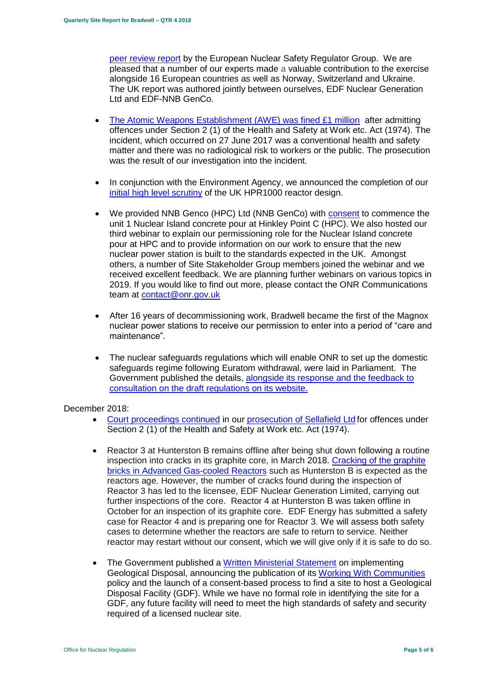[peer review report](http://news.onr.org.uk/2018/11/onr-welcomes-first-topical-peer-review/) by the European Nuclear Safety Regulator Group. We are pleased that a number of our experts made a valuable contribution to the exercise alongside 16 European countries as well as Norway, Switzerland and Ukraine. The UK report was authored jointly between ourselves, EDF Nuclear Generation Ltd and EDF-NNB GenCo.

- [The Atomic Weapons Establishment \(AWE\) was fined £1 million](http://news.onr.org.uk/2018/11/awe-prosecution-reaction/) after admitting offences under Section 2 (1) of the Health and Safety at Work etc. Act (1974). The incident, which occurred on 27 June 2017 was a conventional health and safety matter and there was no radiological risk to workers or the public. The prosecution was the result of our investigation into the incident.
- In conjunction with the Environment Agency, we announced the completion of our [initial high level scrutiny](http://news.onr.org.uk/2018/11/uk-hpr1000-completes-gda-step-2/) of the UK HPR1000 reactor design.
- We provided NNB Genco (HPC) Ltd (NNB GenCo) with [consent](http://news.onr.org.uk/2018/11/consent-for-hinkley-point-c-nuclear-island-concrete-pour/) to commence the unit 1 Nuclear Island concrete pour at Hinkley Point C (HPC). We also hosted our third webinar to explain our permissioning role for the Nuclear Island concrete pour at HPC and to provide information on our work to ensure that the new nuclear power station is built to the standards expected in the UK. Amongst others, a number of Site Stakeholder Group members joined the webinar and we received excellent feedback. We are planning further webinars on various topics in 2019. If you would like to find out more, please contact the ONR Communications team at [contact@onr.gov.uk](mailto:contact@onr.gov.uk)
- After 16 years of decommissioning work, Bradwell became the first of the Magnox nuclear power stations to receive our permission to enter into a period of "care and maintenance".
- The nuclear safeguards regulations which will enable ONR to set up the domestic safeguards regime following Euratom withdrawal, were laid in Parliament. The Government published the details, [alongside its response and the feedback to](https://www.gov.uk/government/consultations/nuclear-safeguards-regulations)  [consultation on the draft regulations on its website.](https://www.gov.uk/government/consultations/nuclear-safeguards-regulations)

#### December 2018:

- [Court proceedings continued](http://news.onr.org.uk/2018/12/prosecution-of-sellafield-ltd/) in our [prosecution of Sellafield Ltd](http://news.onr.org.uk/2018/07/update-prosecution-of-sellafield-ltd/) for offences under Section 2 (1) of the Health and Safety at Work etc. Act (1974).
- Reactor 3 at Hunterston B remains offline after being shut down following a routine inspection into cracks in its graphite core, in March 2018. Cracking of the graphite [bricks in Advanced Gas-cooled Reactors](http://www.onr.org.uk/civil-nuclear-reactors/graphite-core-of-agrs.htm) such as Hunterston B is expected as the reactors age. However, the number of cracks found during the inspection of Reactor 3 has led to the licensee, EDF Nuclear Generation Limited, carrying out further inspections of the core. Reactor 4 at Hunterston B was taken offline in October for an inspection of its graphite core. EDF Energy has submitted a safety case for Reactor 4 and is preparing one for Reactor 3. We will assess both safety cases to determine whether the reactors are safe to return to service. Neither reactor may restart without our consent, which we will give only if it is safe to do so.
- The Government published a [Written Ministerial Statement](https://www.parliament.uk/business/publications/written-questions-answers-statements/written-statement/Commons/2018-12-19/HCWS1217/) on implementing Geological Disposal, announcing the publication of its [Working With Communities](https://www.gov.uk/government/publications/implementing-geological-disposal-working-with-communities-long-term-management-of-higher-activity-radioactive-waste) policy and the launch of a consent-based process to find a site to host a Geological Disposal Facility (GDF). While we have no formal role in identifying the site for a GDF, any future facility will need to meet the high standards of safety and security required of a licensed nuclear site.